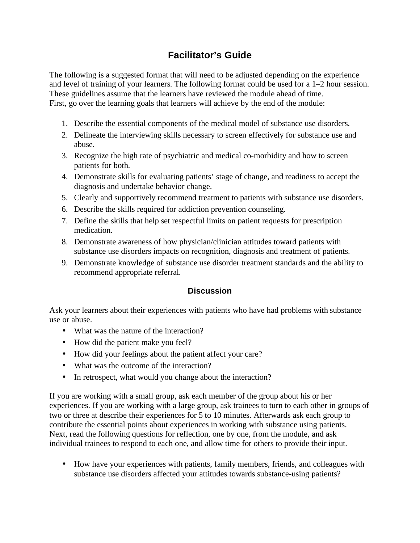# **Facilitator's Guide**

The following is a suggested format that will need to be adjusted depending on the experience and level of training of your learners. The following format could be used for a 1–2 hour session. These guidelines assume that the learners have reviewed the module ahead of time. First, go over the learning goals that learners will achieve by the end of the module:

- 1. Describe the essential components of the medical model of substance use disorders.
- 2. Delineate the interviewing skills necessary to screen effectively for substance use and abuse.
- 3. Recognize the high rate of psychiatric and medical co-morbidity and how to screen patients for both.
- 4. Demonstrate skills for evaluating patients' stage of change, and readiness to accept the diagnosis and undertake behavior change.
- 5. Clearly and supportively recommend treatment to patients with substance use disorders.
- 6. Describe the skills required for addiction prevention counseling.
- 7. Define the skills that help set respectful limits on patient requests for prescription medication.
- 8. Demonstrate awareness of how physician/clinician attitudes toward patients with substance use disorders impacts on recognition, diagnosis and treatment of patients.
- 9. Demonstrate knowledge of substance use disorder treatment standards and the ability to recommend appropriate referral.

# **Discussion**

Ask your learners about their experiences with patients who have had problems with substance use or abuse.

- What was the nature of the interaction?
- How did the patient make you feel?
- How did your feelings about the patient affect your care?
- What was the outcome of the interaction?
- In retrospect, what would you change about the interaction?

If you are working with a small group, ask each member of the group about his or her experiences. If you are working with a large group, ask trainees to turn to each other in groups of two or three at describe their experiences for 5 to 10 minutes. Afterwards ask each group to contribute the essential points about experiences in working with substance using patients. Next, read the following questions for reflection, one by one, from the module, and ask individual trainees to respond to each one, and allow time for others to provide their input.

• How have your experiences with patients, family members, friends, and colleagues with substance use disorders affected your attitudes towards substance-using patients?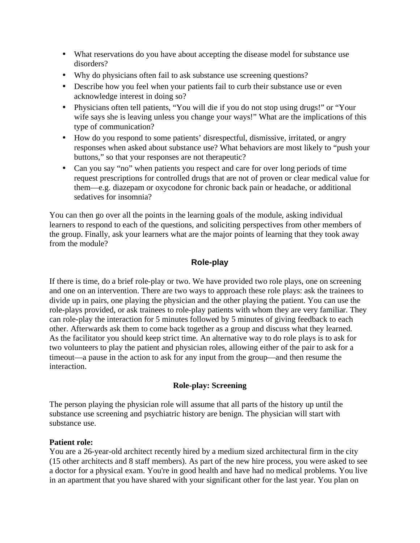- What reservations do you have about accepting the disease model for substance use disorders?
- Why do physicians often fail to ask substance use screening questions?
- Describe how you feel when your patients fail to curb their substance use or even acknowledge interest in doing so?
- Physicians often tell patients, "You will die if you do not stop using drugs!" or "Your wife says she is leaving unless you change your ways!" What are the implications of this type of communication?
- How do you respond to some patients' disrespectful, dismissive, irritated, or angry responses when asked about substance use? What behaviors are most likely to "push your buttons," so that your responses are not therapeutic?
- Can you say "no" when patients you respect and care for over long periods of time request prescriptions for controlled drugs that are not of proven or clear medical value for them—e.g. diazepam or oxycodone for chronic back pain or headache, or additional sedatives for insomnia?

You can then go over all the points in the learning goals of the module, asking individual learners to respond to each of the questions, and soliciting perspectives from other members of the group. Finally, ask your learners what are the major points of learning that they took away from the module?

# **Role-play**

If there is time, do a brief role-play or two. We have provided two role plays, one on screening and one on an intervention. There are two ways to approach these role plays: ask the trainees to divide up in pairs, one playing the physician and the other playing the patient. You can use the role-plays provided, or ask trainees to role-play patients with whom they are very familiar. They can role-play the interaction for 5 minutes followed by 5 minutes of giving feedback to each other. Afterwards ask them to come back together as a group and discuss what they learned. As the facilitator you should keep strict time. An alternative way to do role plays is to ask for two volunteers to play the patient and physician roles, allowing either of the pair to ask for a timeout––a pause in the action to ask for any input from the group––and then resume the interaction.

# **Role-play: Screening**

The person playing the physician role will assume that all parts of the history up until the substance use screening and psychiatric history are benign. The physician will start with substance use.

# **Patient role:**

You are a 26-year-old architect recently hired by a medium sized architectural firm in the city (15 other architects and 8 staff members). As part of the new hire process, you were asked to see a doctor for a physical exam. You're in good health and have had no medical problems. You live in an apartment that you have shared with your significant other for the last year. You plan on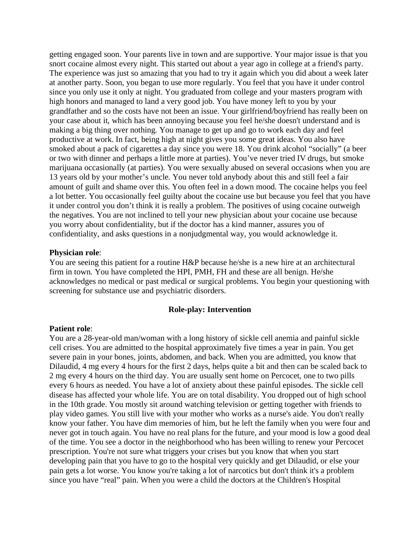getting engaged soon. Your parents live in town and are supportive. Your major issue is that you snort cocaine almost every night. This started out about a year ago in college at a friend's party. The experience was just so amazing that you had to try it again which you did about a week later at another party. Soon, you began to use more regularly. You feel that you have it under control since you only use it only at night. You graduated from college and your masters program with high honors and managed to land a very good job. You have money left to you by your grandfather and so the costs have not been an issue. Your girlfriend/boyfriend has really been on your case about it, which has been annoying because you feel he/she doesn't understand and is making a big thing over nothing. You manage to get up and go to work each day and feel productive at work. In fact, being high at night gives you some great ideas. You also have smoked about a pack of cigarettes a day since you were 18. You drink alcohol "socially" (a beer or two with dinner and perhaps a little more at parties). You've never tried IV drugs, but smoke marijuana occasionally (at parties). You were sexually abused on several occasions when you are 13 years old by your mother's uncle. You never told anybody about this and still feel a fair amount of guilt and shame over this. You often feel in a down mood. The cocaine helps you feel a lot better. You occasionally feel guilty about the cocaine use but because you feel that you have it under control you don't think it is really a problem. The positives of using cocaine outweigh the negatives. You are not inclined to tell your new physician about your cocaine use because you worry about confidentiality, but if the doctor has a kind manner, assures you of confidentiality, and asks questions in a nonjudgmental way, you would acknowledge it.

#### **Physician role**:

You are seeing this patient for a routine H&P because he/she is a new hire at an architectural firm in town. You have completed the HPI, PMH, FH and these are all benign. He/she acknowledges no medical or past medical or surgical problems. You begin your questioning with screening for substance use and psychiatric disorders.

#### **Role-play: Intervention**

#### **Patient role**:

You are a 28-year-old man/woman with a long history of sickle cell anemia and painful sickle cell crises. You are admitted to the hospital approximately five times a year in pain. You get severe pain in your bones, joints, abdomen, and back. When you are admitted, you know that Dilaudid, 4 mg every 4 hours for the first 2 days, helps quite a bit and then can be scaled back to 2 mg every 4 hours on the third day. You are usually sent home on Percocet, one to two pills every 6 hours as needed. You have a lot of anxiety about these painful episodes. The sickle cell disease has affected your whole life. You are on total disability. You dropped out of high school in the 10th grade. You mostly sit around watching television or getting together with friends to play video games. You still live with your mother who works as a nurse's aide. You don't really know your father. You have dim memories of him, but he left the family when you were four and never got in touch again. You have no real plans for the future, and your mood is low a good deal of the time. You see a doctor in the neighborhood who has been willing to renew your Percocet prescription. You're not sure what triggers your crises but you know that when you start developing pain that you have to go to the hospital very quickly and get Dilaudid, or else your pain gets a lot worse. You know you're taking a lot of narcotics but don't think it's a problem since you have "real" pain. When you were a child the doctors at the Children's Hospital